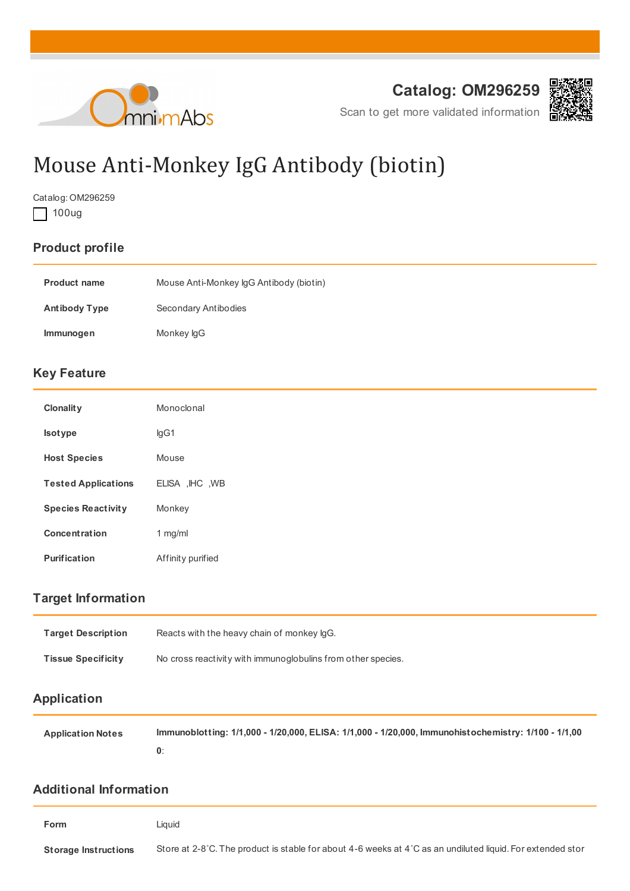



Scan to get more validated information

# Mouse Anti-Monkey IgG Antibody (biotin)

Catalog: OM296259

100ug

## **Product profile**

| <b>Product name</b>  | Mouse Anti-Monkey IgG Antibody (biotin) |
|----------------------|-----------------------------------------|
| <b>Antibody Type</b> | Secondary Antibodies                    |
| <b>Immunogen</b>     | Monkey lgG                              |

#### **Key Feature**

| <b>Clonality</b>           | Monoclonal        |
|----------------------------|-------------------|
| <b>Isotype</b>             | lgG1              |
| <b>Host Species</b>        | Mouse             |
| <b>Tested Applications</b> | ELISA, IHC, WB    |
| <b>Species Reactivity</b>  | Monkey            |
| <b>Concentration</b>       | $1$ mg/ml         |
| <b>Purification</b>        | Affinity purified |

## **Target Information**

| <b>Target Description</b> | Reacts with the heavy chain of monkey IgG.                   |
|---------------------------|--------------------------------------------------------------|
| <b>Tissue Specificity</b> | No cross reactivity with immunoglobulins from other species. |
| Application               |                                                              |

| <b>Application Notes</b> | lmmunoblotting: 1/1,000 - 1/20,000, ELISA: 1/1,000 - 1/20,000, Immunohistochemistry: 1/100 - 1/1,00 |
|--------------------------|-----------------------------------------------------------------------------------------------------|
|                          |                                                                                                     |

#### **Additional Information**

| Form                        | Liauid                                                                                                       |
|-----------------------------|--------------------------------------------------------------------------------------------------------------|
| <b>Storage Instructions</b> | Store at 2-8 °C. The product is stable for about 4-6 weeks at 4 °C as an undiluted liquid. For extended stor |